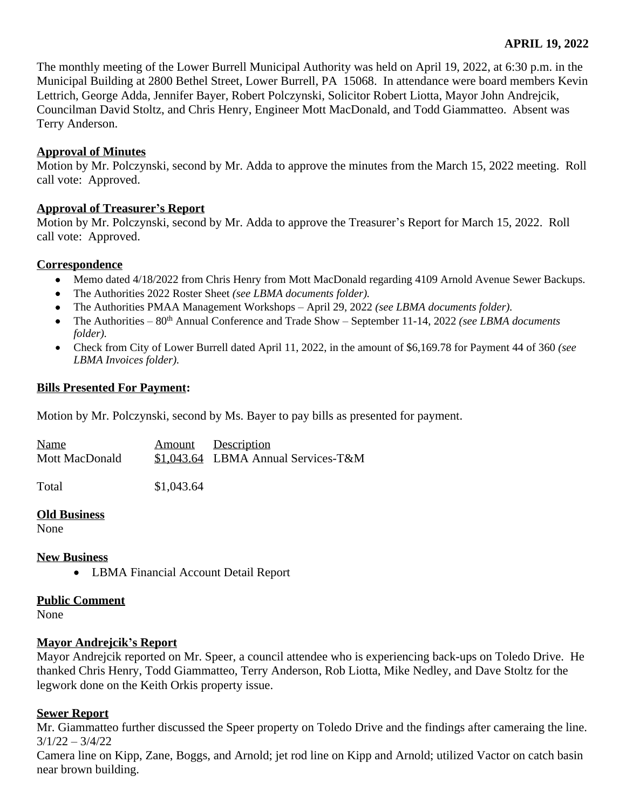The monthly meeting of the Lower Burrell Municipal Authority was held on April 19, 2022, at 6:30 p.m. in the Municipal Building at 2800 Bethel Street, Lower Burrell, PA 15068. In attendance were board members Kevin Lettrich, George Adda, Jennifer Bayer, Robert Polczynski, Solicitor Robert Liotta, Mayor John Andrejcik, Councilman David Stoltz, and Chris Henry, Engineer Mott MacDonald, and Todd Giammatteo. Absent was Terry Anderson.

### **Approval of Minutes**

Motion by Mr. Polczynski, second by Mr. Adda to approve the minutes from the March 15, 2022 meeting. Roll call vote: Approved.

### **Approval of Treasurer's Report**

Motion by Mr. Polczynski, second by Mr. Adda to approve the Treasurer's Report for March 15, 2022. Roll call vote: Approved.

#### **Correspondence**

- Memo dated 4/18/2022 from Chris Henry from Mott MacDonald regarding 4109 Arnold Avenue Sewer Backups.
- The Authorities 2022 Roster Sheet *(see LBMA documents folder).*
- The Authorities PMAA Management Workshops April 29, 2022 *(see LBMA documents folder).*
- The Authorities 80<sup>th</sup> Annual Conference and Trade Show September 11-14, 2022 *(see LBMA documents*) *folder).*
- Check from City of Lower Burrell dated April 11, 2022, in the amount of \$6,169.78 for Payment 44 of 360 *(see LBMA Invoices folder).*

### **Bills Presented For Payment:**

Motion by Mr. Polczynski, second by Ms. Bayer to pay bills as presented for payment.

| Name           | Amount | Description                         |
|----------------|--------|-------------------------------------|
| Mott MacDonald |        | \$1,043.64 LBMA Annual Services-T&M |

Total \$1,043.64

#### **Old Business**

None

#### **New Business**

LBMA Financial Account Detail Report

#### **Public Comment**

None

## **Mayor Andrejcik's Report**

Mayor Andrejcik reported on Mr. Speer, a council attendee who is experiencing back-ups on Toledo Drive. He thanked Chris Henry, Todd Giammatteo, Terry Anderson, Rob Liotta, Mike Nedley, and Dave Stoltz for the legwork done on the Keith Orkis property issue.

## **Sewer Report**

Mr. Giammatteo further discussed the Speer property on Toledo Drive and the findings after cameraing the line.  $3/1/22 - 3/4/22$ 

Camera line on Kipp, Zane, Boggs, and Arnold; jet rod line on Kipp and Arnold; utilized Vactor on catch basin near brown building.